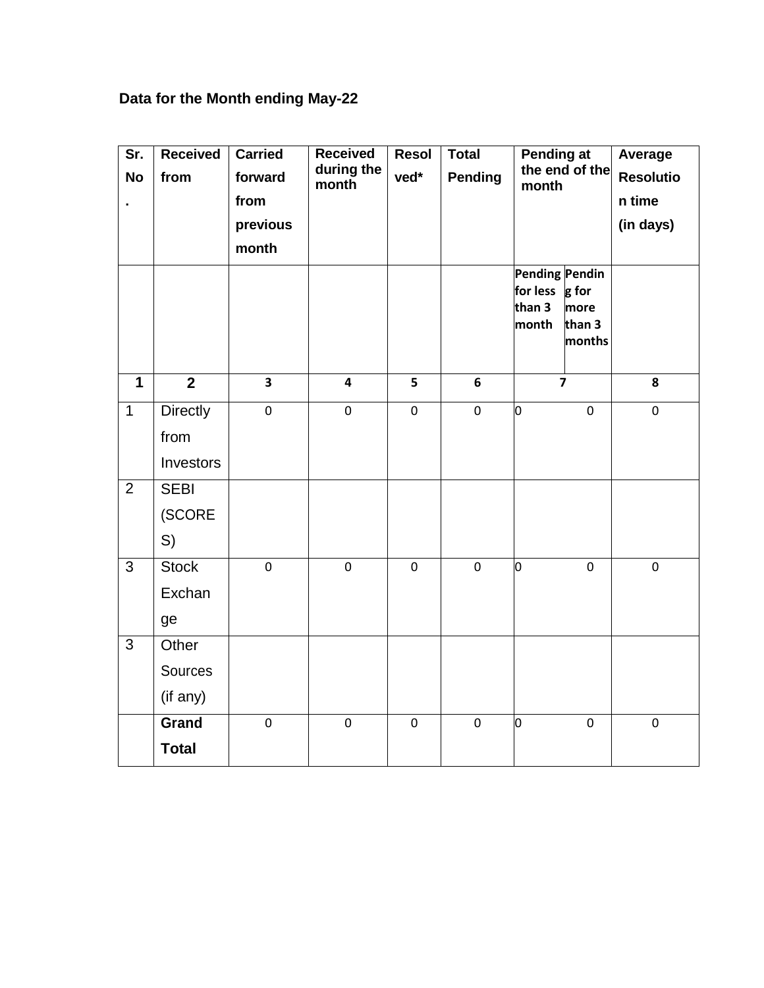## **Data for the Month ending May-22**

| Sr.<br><b>No</b><br>$\blacksquare$ | <b>Received</b><br>from | <b>Carried</b><br>forward<br>from<br>previous<br>month | <b>Received</b><br>during the<br>month | <b>Resol</b><br>ved* | <b>Total</b><br><b>Pending</b> | Pending at<br>the end of the<br>month<br>Pending Pendin |                                   | Average<br><b>Resolutio</b><br>n time<br>(in days) |
|------------------------------------|-------------------------|--------------------------------------------------------|----------------------------------------|----------------------|--------------------------------|---------------------------------------------------------|-----------------------------------|----------------------------------------------------|
|                                    |                         |                                                        |                                        |                      |                                | for less<br>than 3<br>month                             | g for<br>more<br>than 3<br>months |                                                    |
| $\mathbf{1}$                       | $\overline{2}$          | $\overline{\mathbf{3}}$                                | $\overline{4}$                         | 5                    | 6                              | $\overline{7}$                                          |                                   | 8                                                  |
| $\mathbf{1}$                       | <b>Directly</b>         | $\mathbf 0$                                            | $\mathbf 0$                            | $\mathbf 0$          | $\mathbf 0$                    | 0                                                       | $\mathbf 0$                       | $\mathbf 0$                                        |
|                                    | from                    |                                                        |                                        |                      |                                |                                                         |                                   |                                                    |
|                                    | Investors               |                                                        |                                        |                      |                                |                                                         |                                   |                                                    |
| $\overline{2}$                     | <b>SEBI</b>             |                                                        |                                        |                      |                                |                                                         |                                   |                                                    |
|                                    | (SCORE                  |                                                        |                                        |                      |                                |                                                         |                                   |                                                    |
|                                    | S)                      |                                                        |                                        |                      |                                |                                                         |                                   |                                                    |
| 3                                  | <b>Stock</b>            | $\mathbf 0$                                            | $\mathbf 0$                            | $\mathbf 0$          | $\mathbf 0$                    | 0                                                       | $\mathbf 0$                       | $\mathbf 0$                                        |
|                                    | Exchan                  |                                                        |                                        |                      |                                |                                                         |                                   |                                                    |
|                                    | ge                      |                                                        |                                        |                      |                                |                                                         |                                   |                                                    |
| 3                                  | Other                   |                                                        |                                        |                      |                                |                                                         |                                   |                                                    |
|                                    | Sources                 |                                                        |                                        |                      |                                |                                                         |                                   |                                                    |
|                                    | (if any)                |                                                        |                                        |                      |                                |                                                         |                                   |                                                    |
|                                    | Grand                   | $\pmb{0}$                                              | $\pmb{0}$                              | $\pmb{0}$            | $\pmb{0}$                      | 0                                                       | $\pmb{0}$                         | $\pmb{0}$                                          |
|                                    | <b>Total</b>            |                                                        |                                        |                      |                                |                                                         |                                   |                                                    |